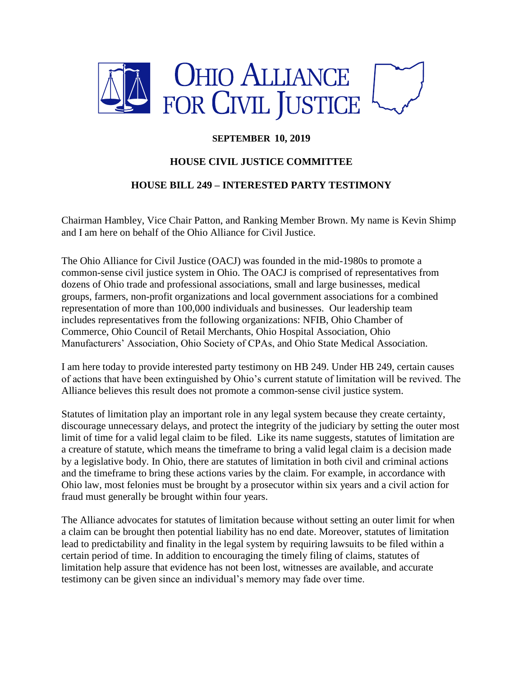

## **SEPTEMBER 10, 2019**

## **HOUSE CIVIL JUSTICE COMMITTEE**

## **HOUSE BILL 249 – INTERESTED PARTY TESTIMONY**

Chairman Hambley, Vice Chair Patton, and Ranking Member Brown. My name is Kevin Shimp and I am here on behalf of the Ohio Alliance for Civil Justice.

The Ohio Alliance for Civil Justice (OACJ) was founded in the mid-1980s to promote a common-sense civil justice system in Ohio. The OACJ is comprised of representatives from dozens of Ohio trade and professional associations, small and large businesses, medical groups, farmers, non-profit organizations and local government associations for a combined representation of more than 100,000 individuals and businesses. Our leadership team includes representatives from the following organizations: NFIB, Ohio Chamber of Commerce, Ohio Council of Retail Merchants, Ohio Hospital Association, Ohio Manufacturers' Association, Ohio Society of CPAs, and Ohio State Medical Association.

I am here today to provide interested party testimony on HB 249. Under HB 249, certain causes of actions that have been extinguished by Ohio's current statute of limitation will be revived. The Alliance believes this result does not promote a common-sense civil justice system.

Statutes of limitation play an important role in any legal system because they create certainty, discourage unnecessary delays, and protect the integrity of the judiciary by setting the outer most limit of time for a valid legal claim to be filed. Like its name suggests, statutes of limitation are a creature of statute, which means the timeframe to bring a valid legal claim is a decision made by a legislative body. In Ohio, there are statutes of limitation in both civil and criminal actions and the timeframe to bring these actions varies by the claim. For example, in accordance with Ohio law, most felonies must be brought by a prosecutor within six years and a civil action for fraud must generally be brought within four years.

The Alliance advocates for statutes of limitation because without setting an outer limit for when a claim can be brought then potential liability has no end date. Moreover, statutes of limitation lead to predictability and finality in the legal system by requiring lawsuits to be filed within a certain period of time. In addition to encouraging the timely filing of claims, statutes of limitation help assure that evidence has not been lost, witnesses are available, and accurate testimony can be given since an individual's memory may fade over time.